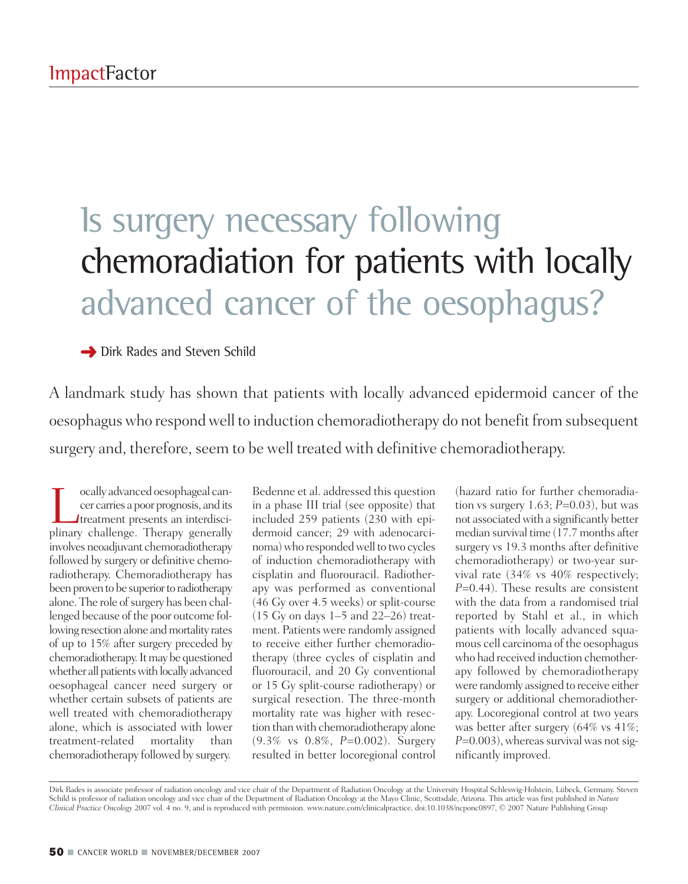## Is surgery necessary following chemoradiation for patients with locally advanced cancer of the oesophagus?

**→** Dirk Rades and Steven Schild

A landmark study has shown that patients with locally advanced epidermoid cancer of the oesophaguswho respondwell to induction chemoradiotherapy do not benefit from subsequent surgery and, therefore, seem to be well treated with definitive chemoradiotherapy.

Tocally advanced oesophageal can-<br>
cer carries a poor prognosis, and its<br>
treatment presents an interdisci-<br>
plinary challenge Therany generally cer carries a poor prognosis, and its plinary challenge. Therapy generally involves neoadjuvant chemoradiotherapy followed by surgery or definitive chemoradiotherapy. Chemoradiotherapy has been proven to be superior to radiotherapy alone. The role of surgery has been challenged because of the poor outcome following resection alone and mortality rates of up to 15% after surgery preceded by chemoradiotherapy. It may be questioned whether all patients with locally advanced oesophageal cancer need surgery or whether certain subsets of patients are well treated with chemoradiotherapy alone, which is associated with lower treatment-related mortality than chemoradiotherapy followed by surgery.

Bedenne et al. addressed this question in a phase III trial (see opposite) that included 259 patients (230 with epidermoid cancer; 29 with adenocarcinoma) who responded well to two cycles of induction chemoradiotherapy with cisplatin and fluorouracil. Radiotherapy was performed as conventional (46 Gy over 4.5 weeks) or split-course (15 Gy on days 1–5 and 22–26) treatment. Patients were randomly assigned to receive either further chemoradiotherapy (three cycles of cisplatin and fluorouracil, and 20 Gy conventional or 15 Gy split-course radiotherapy) or surgical resection. The three-month mortality rate was higher with resection than with chemoradiotherapy alone (9.3% vs 0.8%, *P*=0.002). Surgery resulted in better locoregional control

(hazard ratio for further chemoradiation vs surgery 1.63; *P*=0.03), but was not associated with a significantly better median survival time (17.7 months after surgery vs 19.3 months after definitive chemoradiotherapy) or two-year survival rate (34% vs 40% respectively; *P*=0.44). These results are consistent with the data from a randomised trial reported by Stahl et al., in which patients with locally advanced squamous cell carcinoma of the oesophagus who had received induction chemotherapy followed by chemoradiotherapy were randomly assigned to receive either surgery or additional chemoradiotherapy. Locoregional control at two years was better after surgery (64% vs 41%; *P*=0.003), whereas survival was not significantly improved.

Dirk Rades is associate professor of radiation oncology and vice chair of the Department of Radiation Oncology at the University Hospital Schleswig-Holstein, Lübeck, Germany. Steven Schild is professor of radiation oncology and vice chair of the Department of Radiation Oncology at the Mayo Clinic, Scottsdale, Arizona. This article was first published in *Nature Clinical Practice Oncology* 2007 vol. 4 no. 9, and is reproduced with permission. www.nature.com/clinicalpractice, doi:10.1038/ncponc0897, © 2007 Nature Publishing Group